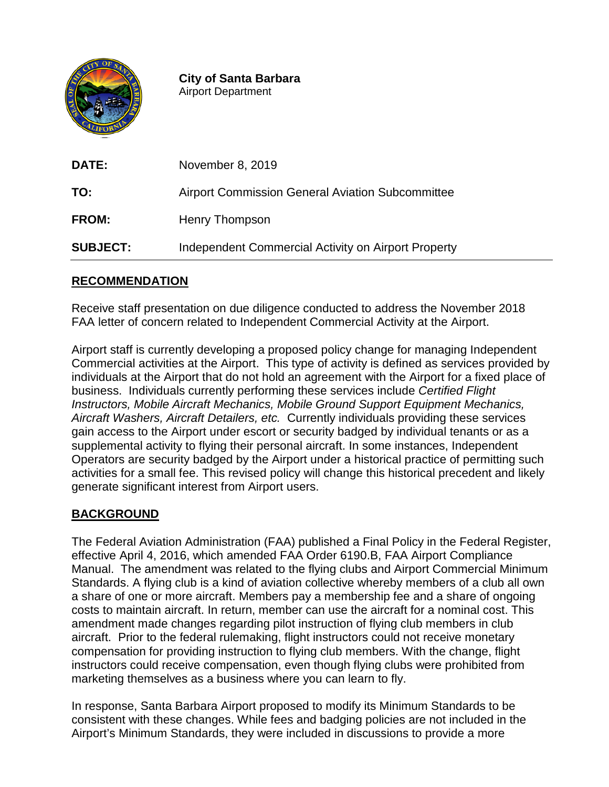

**City of Santa Barbara** Airport Department

| <b>DATE:</b>    | November 8, 2019                                        |
|-----------------|---------------------------------------------------------|
| TO:             | <b>Airport Commission General Aviation Subcommittee</b> |
| <b>FROM:</b>    | Henry Thompson                                          |
| <b>SUBJECT:</b> | Independent Commercial Activity on Airport Property     |

## **RECOMMENDATION**

Receive staff presentation on due diligence conducted to address the November 2018 FAA letter of concern related to Independent Commercial Activity at the Airport.

Airport staff is currently developing a proposed policy change for managing Independent Commercial activities at the Airport. This type of activity is defined as services provided by individuals at the Airport that do not hold an agreement with the Airport for a fixed place of business. Individuals currently performing these services include *Certified Flight Instructors, Mobile Aircraft Mechanics, Mobile Ground Support Equipment Mechanics, Aircraft Washers, Aircraft Detailers, etc.* Currently individuals providing these services gain access to the Airport under escort or security badged by individual tenants or as a supplemental activity to flying their personal aircraft. In some instances, Independent Operators are security badged by the Airport under a historical practice of permitting such activities for a small fee. This revised policy will change this historical precedent and likely generate significant interest from Airport users.

# **BACKGROUND**

The Federal Aviation Administration (FAA) published a Final Policy in the Federal Register, effective April 4, 2016, which amended FAA Order 6190.B, FAA Airport Compliance Manual. The amendment was related to the flying clubs and Airport Commercial Minimum Standards. A flying club is a kind of aviation collective whereby members of a club all own a share of one or more aircraft. Members pay a membership fee and a share of ongoing costs to maintain aircraft. In return, member can use the aircraft for a nominal cost. This amendment made changes regarding pilot instruction of flying club members in club aircraft. Prior to the federal rulemaking, flight instructors could not receive monetary compensation for providing instruction to flying club members. With the change, flight instructors could receive compensation, even though flying clubs were prohibited from marketing themselves as a business where you can learn to fly.

In response, Santa Barbara Airport proposed to modify its Minimum Standards to be consistent with these changes. While fees and badging policies are not included in the Airport's Minimum Standards, they were included in discussions to provide a more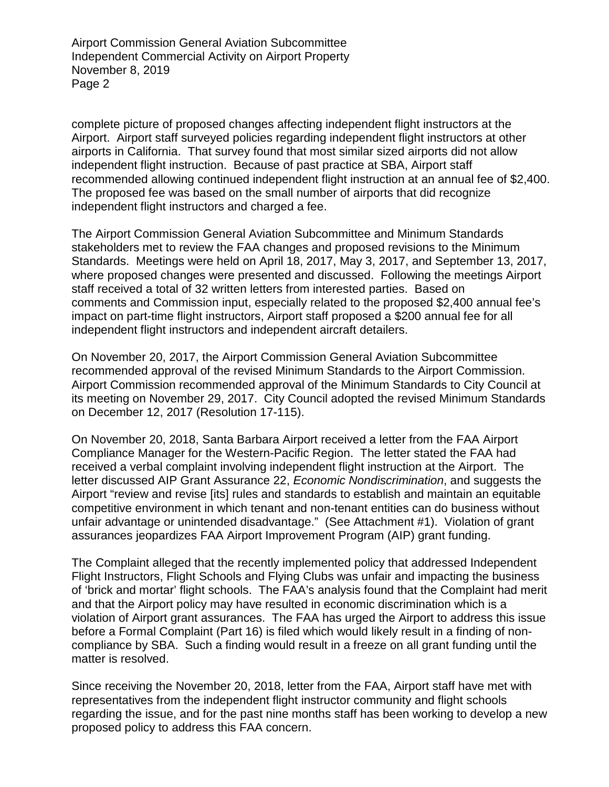Airport Commission General Aviation Subcommittee Independent Commercial Activity on Airport Property November 8, 2019 Page 2

complete picture of proposed changes affecting independent flight instructors at the Airport. Airport staff surveyed policies regarding independent flight instructors at other airports in California. That survey found that most similar sized airports did not allow independent flight instruction. Because of past practice at SBA, Airport staff recommended allowing continued independent flight instruction at an annual fee of \$2,400. The proposed fee was based on the small number of airports that did recognize independent flight instructors and charged a fee.

The Airport Commission General Aviation Subcommittee and Minimum Standards stakeholders met to review the FAA changes and proposed revisions to the Minimum Standards. Meetings were held on April 18, 2017, May 3, 2017, and September 13, 2017, where proposed changes were presented and discussed. Following the meetings Airport staff received a total of 32 written letters from interested parties. Based on comments and Commission input, especially related to the proposed \$2,400 annual fee's impact on part-time flight instructors, Airport staff proposed a \$200 annual fee for all independent flight instructors and independent aircraft detailers.

On November 20, 2017, the Airport Commission General Aviation Subcommittee recommended approval of the revised Minimum Standards to the Airport Commission. Airport Commission recommended approval of the Minimum Standards to City Council at its meeting on November 29, 2017. City Council adopted the revised Minimum Standards on December 12, 2017 (Resolution 17-115).

On November 20, 2018, Santa Barbara Airport received a letter from the FAA Airport Compliance Manager for the Western-Pacific Region. The letter stated the FAA had received a verbal complaint involving independent flight instruction at the Airport. The letter discussed AIP Grant Assurance 22, *Economic Nondiscrimination*, and suggests the Airport "review and revise [its] rules and standards to establish and maintain an equitable competitive environment in which tenant and non-tenant entities can do business without unfair advantage or unintended disadvantage." (See Attachment #1). Violation of grant assurances jeopardizes FAA Airport Improvement Program (AIP) grant funding.

The Complaint alleged that the recently implemented policy that addressed Independent Flight Instructors, Flight Schools and Flying Clubs was unfair and impacting the business of 'brick and mortar' flight schools. The FAA's analysis found that the Complaint had merit and that the Airport policy may have resulted in economic discrimination which is a violation of Airport grant assurances. The FAA has urged the Airport to address this issue before a Formal Complaint (Part 16) is filed which would likely result in a finding of noncompliance by SBA. Such a finding would result in a freeze on all grant funding until the matter is resolved.

Since receiving the November 20, 2018, letter from the FAA, Airport staff have met with representatives from the independent flight instructor community and flight schools regarding the issue, and for the past nine months staff has been working to develop a new proposed policy to address this FAA concern.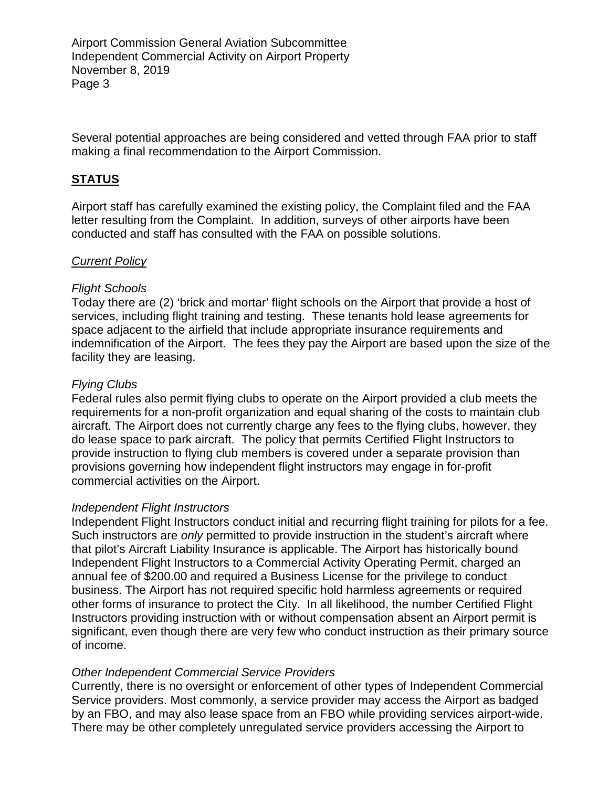Airport Commission General Aviation Subcommittee Independent Commercial Activity on Airport Property November 8, 2019 Page 3

Several potential approaches are being considered and vetted through FAA prior to staff making a final recommendation to the Airport Commission.

## **STATUS**

Airport staff has carefully examined the existing policy, the Complaint filed and the FAA letter resulting from the Complaint. In addition, surveys of other airports have been conducted and staff has consulted with the FAA on possible solutions.

### *Current Policy*

### *Flight Schools*

Today there are (2) 'brick and mortar' flight schools on the Airport that provide a host of services, including flight training and testing. These tenants hold lease agreements for space adjacent to the airfield that include appropriate insurance requirements and indemnification of the Airport. The fees they pay the Airport are based upon the size of the facility they are leasing.

### *Flying Clubs*

Federal rules also permit flying clubs to operate on the Airport provided a club meets the requirements for a non-profit organization and equal sharing of the costs to maintain club aircraft. The Airport does not currently charge any fees to the flying clubs, however, they do lease space to park aircraft. The policy that permits Certified Flight Instructors to provide instruction to flying club members is covered under a separate provision than provisions governing how independent flight instructors may engage in for-profit commercial activities on the Airport.

#### *Independent Flight Instructors*

Independent Flight Instructors conduct initial and recurring flight training for pilots for a fee. Such instructors are *only* permitted to provide instruction in the student's aircraft where that pilot's Aircraft Liability Insurance is applicable. The Airport has historically bound Independent Flight Instructors to a Commercial Activity Operating Permit, charged an annual fee of \$200.00 and required a Business License for the privilege to conduct business. The Airport has not required specific hold harmless agreements or required other forms of insurance to protect the City. In all likelihood, the number Certified Flight Instructors providing instruction with or without compensation absent an Airport permit is significant, even though there are very few who conduct instruction as their primary source of income.

#### *Other Independent Commercial Service Providers*

Currently, there is no oversight or enforcement of other types of Independent Commercial Service providers. Most commonly, a service provider may access the Airport as badged by an FBO, and may also lease space from an FBO while providing services airport-wide. There may be other completely unregulated service providers accessing the Airport to